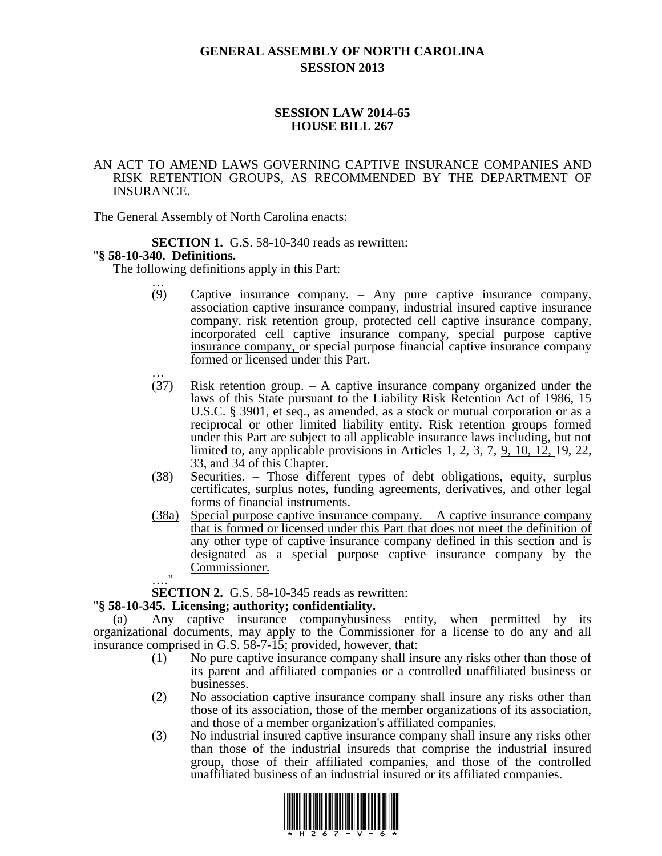# **GENERAL ASSEMBLY OF NORTH CAROLINA SESSION 2013**

### **SESSION LAW 2014-65 HOUSE BILL 267**

### AN ACT TO AMEND LAWS GOVERNING CAPTIVE INSURANCE COMPANIES AND RISK RETENTION GROUPS, AS RECOMMENDED BY THE DEPARTMENT OF INSURANCE.

The General Assembly of North Carolina enacts:

**SECTION 1.** G.S. 58-10-340 reads as rewritten:

### "**§ 58-10-340. Definitions.**

The following definitions apply in this Part:

- … (9) Captive insurance company. – Any pure captive insurance company, association captive insurance company, industrial insured captive insurance company, risk retention group, protected cell captive insurance company, incorporated cell captive insurance company, special purpose captive insurance company, or special purpose financial captive insurance company formed or licensed under this Part.
- … (37) Risk retention group. – A captive insurance company organized under the laws of this State pursuant to the Liability Risk Retention Act of 1986, 15 U.S.C. § 3901, et seq., as amended, as a stock or mutual corporation or as a reciprocal or other limited liability entity. Risk retention groups formed under this Part are subject to all applicable insurance laws including, but not limited to, any applicable provisions in Articles 1, 2, 3, 7, 9, 10, 12, 19, 22, 33, and 34 of this Chapter.
- (38) Securities. Those different types of debt obligations, equity, surplus certificates, surplus notes, funding agreements, derivatives, and other legal forms of financial instruments.
- (38a) Special purpose captive insurance company. A captive insurance company that is formed or licensed under this Part that does not meet the definition of any other type of captive insurance company defined in this section and is designated as a special purpose captive insurance company by the Commissioner.  $^{\bullet}$

**SECTION 2.** G.S. 58-10-345 reads as rewritten:

### "**§ 58-10-345. Licensing; authority; confidentiality.**

(a) Any eaptive insurance companybusiness entity, when permitted by its organizational documents, may apply to the Commissioner for a license to do any and all insurance comprised in G.S. 58-7-15; provided, however, that:

- (1) No pure captive insurance company shall insure any risks other than those of its parent and affiliated companies or a controlled unaffiliated business or businesses.
- (2) No association captive insurance company shall insure any risks other than those of its association, those of the member organizations of its association, and those of a member organization's affiliated companies.
- (3) No industrial insured captive insurance company shall insure any risks other than those of the industrial insureds that comprise the industrial insured group, those of their affiliated companies, and those of the controlled unaffiliated business of an industrial insured or its affiliated companies.

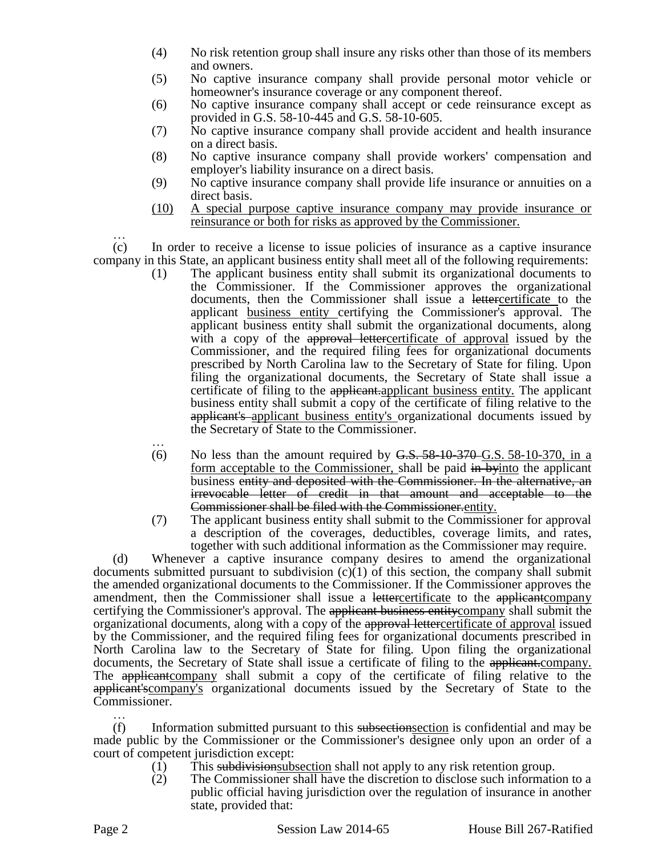- (4) No risk retention group shall insure any risks other than those of its members and owners.
- (5) No captive insurance company shall provide personal motor vehicle or homeowner's insurance coverage or any component thereof.
- (6) No captive insurance company shall accept or cede reinsurance except as provided in G.S. 58-10-445 and G.S. 58-10-605.
- (7) No captive insurance company shall provide accident and health insurance on a direct basis.
- (8) No captive insurance company shall provide workers' compensation and employer's liability insurance on a direct basis.
- (9) No captive insurance company shall provide life insurance or annuities on a direct basis.
- (10) A special purpose captive insurance company may provide insurance or reinsurance or both for risks as approved by the Commissioner.

…

(c) In order to receive a license to issue policies of insurance as a captive insurance company in this State, an applicant business entity shall meet all of the following requirements:

- (1) The applicant business entity shall submit its organizational documents to the Commissioner. If the Commissioner approves the organizational documents, then the Commissioner shall issue a lettercertificate to the applicant business entity certifying the Commissioner's approval. The applicant business entity shall submit the organizational documents, along with a copy of the approval lettercertificate of approval issued by the Commissioner, and the required filing fees for organizational documents prescribed by North Carolina law to the Secretary of State for filing. Upon filing the organizational documents, the Secretary of State shall issue a certificate of filing to the applicant.applicant business entity. The applicant business entity shall submit a copy of the certificate of filing relative to the applicant's applicant business entity's organizational documents issued by the Secretary of State to the Commissioner.
- … (6) No less than the amount required by  $\overline{G.S. 58-10-370}$  G.S. 58-10-370, in a form acceptable to the Commissioner, shall be paid in byinto the applicant business entity and deposited with the Commissioner. In the alternative, an irrevocable letter of credit in that amount and acceptable to the Commissioner shall be filed with the Commissioner.entity.
- (7) The applicant business entity shall submit to the Commissioner for approval a description of the coverages, deductibles, coverage limits, and rates, together with such additional information as the Commissioner may require.

(d) Whenever a captive insurance company desires to amend the organizational documents submitted pursuant to subdivision (c)(1) of this section, the company shall submit the amended organizational documents to the Commissioner. If the Commissioner approves the amendment, then the Commissioner shall issue a lettercertificate to the applicant company certifying the Commissioner's approval. The applicant business entity company shall submit the organizational documents, along with a copy of the approval lettercertificate of approval issued by the Commissioner, and the required filing fees for organizational documents prescribed in North Carolina law to the Secretary of State for filing. Upon filing the organizational documents, the Secretary of State shall issue a certificate of filing to the applicant.company. The applicant company shall submit a copy of the certificate of filing relative to the applicant'scompany's organizational documents issued by the Secretary of State to the Commissioner. …

 $(f)$  Information submitted pursuant to this subsections is confidential and may be made public by the Commissioner or the Commissioner's designee only upon an order of a court of competent jurisdiction except:

- (1) This subdivision subsection shall not apply to any risk retention group.
- (2) The Commissioner shall have the discretion to disclose such information to a public official having jurisdiction over the regulation of insurance in another state, provided that: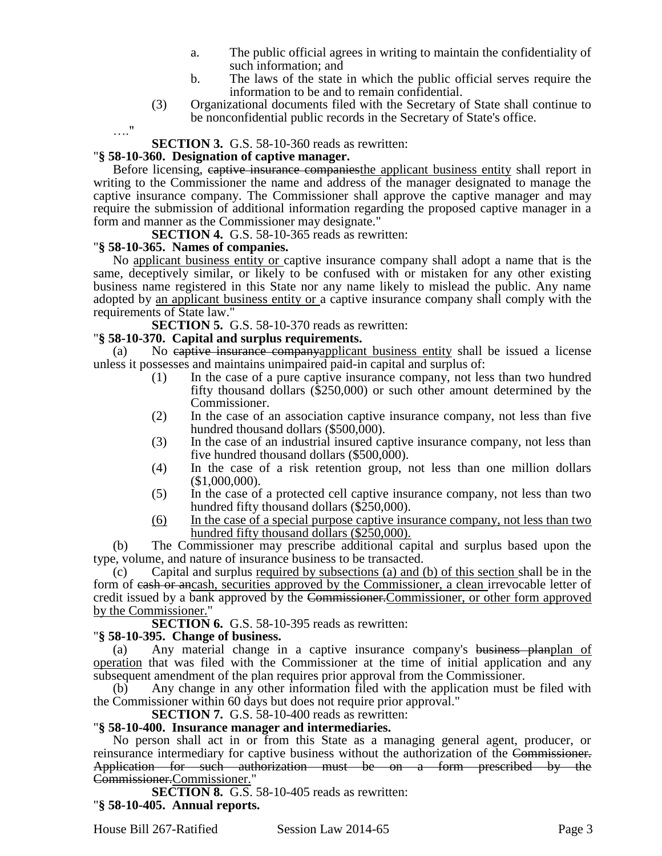- a. The public official agrees in writing to maintain the confidentiality of such information; and
- b. The laws of the state in which the public official serves require the information to be and to remain confidential.
- (3) Organizational documents filed with the Secretary of State shall continue to be nonconfidential public records in the Secretary of State's office.

…."

### **SECTION 3.** G.S. 58-10-360 reads as rewritten:

#### "**§ 58-10-360. Designation of captive manager.**

Before licensing, captive insurance companies the applicant business entity shall report in writing to the Commissioner the name and address of the manager designated to manage the captive insurance company. The Commissioner shall approve the captive manager and may require the submission of additional information regarding the proposed captive manager in a form and manner as the Commissioner may designate."

**SECTION 4.** G.S. 58-10-365 reads as rewritten:

### "**§ 58-10-365. Names of companies.**

No applicant business entity or captive insurance company shall adopt a name that is the same, deceptively similar, or likely to be confused with or mistaken for any other existing business name registered in this State nor any name likely to mislead the public. Any name adopted by an applicant business entity or a captive insurance company shall comply with the requirements of State law."

**SECTION 5.** G.S. 58-10-370 reads as rewritten:

### "**§ 58-10-370. Capital and surplus requirements.**

(a) No captive insurance companyapplicant business entity shall be issued a license unless it possesses and maintains unimpaired paid-in capital and surplus of:

- (1) In the case of a pure captive insurance company, not less than two hundred fifty thousand dollars (\$250,000) or such other amount determined by the Commissioner.
- (2) In the case of an association captive insurance company, not less than five hundred thousand dollars (\$500,000).
- (3) In the case of an industrial insured captive insurance company, not less than five hundred thousand dollars (\$500,000).
- (4) In the case of a risk retention group, not less than one million dollars (\$1,000,000).
- (5) In the case of a protected cell captive insurance company, not less than two hundred fifty thousand dollars (\$250,000).
- (6) In the case of a special purpose captive insurance company, not less than two hundred fifty thousand dollars (\$250,000).

(b) The Commissioner may prescribe additional capital and surplus based upon the type, volume, and nature of insurance business to be transacted.

(c) Capital and surplus required by subsections (a) and (b) of this section shall be in the form of eash or ancash, securities approved by the Commissioner, a clean irrevocable letter of credit issued by a bank approved by the Commissioner. Commissioner, or other form approved by the Commissioner."

**SECTION 6.** G.S. 58-10-395 reads as rewritten:

### "**§ 58-10-395. Change of business.**

(a) Any material change in a captive insurance company's business planplan of operation that was filed with the Commissioner at the time of initial application and any subsequent amendment of the plan requires prior approval from the Commissioner.

(b) Any change in any other information filed with the application must be filed with the Commissioner within 60 days but does not require prior approval."

**SECTION 7.** G.S. 58-10-400 reads as rewritten:

### "**§ 58-10-400. Insurance manager and intermediaries.**

No person shall act in or from this State as a managing general agent, producer, or reinsurance intermediary for captive business without the authorization of the Commissioner. Application for such authorization must be on a form prescribed by the Commissioner.Commissioner."

**SECTION 8.** G.S. 58-10-405 reads as rewritten: "**§ 58-10-405. Annual reports.**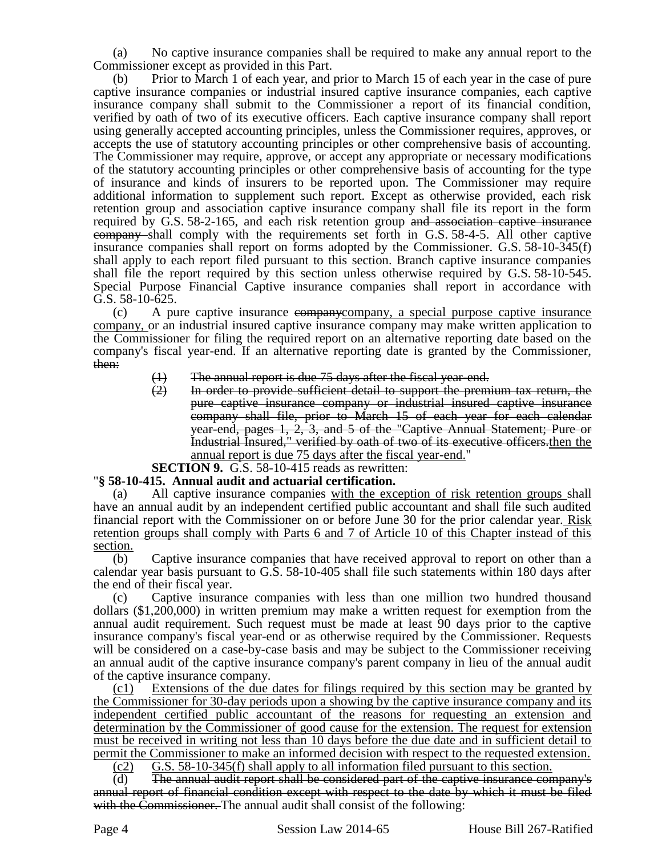(a) No captive insurance companies shall be required to make any annual report to the Commissioner except as provided in this Part.

(b) Prior to March 1 of each year, and prior to March 15 of each year in the case of pure captive insurance companies or industrial insured captive insurance companies, each captive insurance company shall submit to the Commissioner a report of its financial condition, verified by oath of two of its executive officers. Each captive insurance company shall report using generally accepted accounting principles, unless the Commissioner requires, approves, or accepts the use of statutory accounting principles or other comprehensive basis of accounting. The Commissioner may require, approve, or accept any appropriate or necessary modifications of the statutory accounting principles or other comprehensive basis of accounting for the type of insurance and kinds of insurers to be reported upon. The Commissioner may require additional information to supplement such report. Except as otherwise provided, each risk retention group and association captive insurance company shall file its report in the form required by G.S. 58-2-165, and each risk retention group and association captive insurance company shall comply with the requirements set forth in G.S. 58-4-5. All other captive insurance companies shall report on forms adopted by the Commissioner. G.S. 58-10-345(f) shall apply to each report filed pursuant to this section. Branch captive insurance companies shall file the report required by this section unless otherwise required by G.S. 58-10-545. Special Purpose Financial Captive insurance companies shall report in accordance with G.S. 58-10-625.

(c) A pure captive insurance companycompany, a special purpose captive insurance company, or an industrial insured captive insurance company may make written application to the Commissioner for filing the required report on an alternative reporting date based on the company's fiscal year-end. If an alternative reporting date is granted by the Commissioner, then:

- $(1)$  The annual report is due 75 days after the fiscal year-end.<br> $(2)$  In order to provide sufficient detail to support the prem
- In order to provide sufficient detail to support the premium tax return, the pure captive insurance company or industrial insured captive insurance company shall file, prior to March 15 of each year for each calendar year-end, pages 1, 2, 3, and 5 of the "Captive Annual Statement; Pure or Industrial Insured," verified by oath of two of its executive officers.then the annual report is due 75 days after the fiscal year-end."
- **SECTION 9.** G.S. 58-10-415 reads as rewritten:

# "**§ 58-10-415. Annual audit and actuarial certification.**

(a) All captive insurance companies with the exception of risk retention groups shall have an annual audit by an independent certified public accountant and shall file such audited financial report with the Commissioner on or before June 30 for the prior calendar year. Risk retention groups shall comply with Parts 6 and 7 of Article 10 of this Chapter instead of this section.

(b) Captive insurance companies that have received approval to report on other than a calendar year basis pursuant to G.S. 58-10-405 shall file such statements within 180 days after the end of their fiscal year.

(c) Captive insurance companies with less than one million two hundred thousand dollars (\$1,200,000) in written premium may make a written request for exemption from the annual audit requirement. Such request must be made at least 90 days prior to the captive insurance company's fiscal year-end or as otherwise required by the Commissioner. Requests will be considered on a case-by-case basis and may be subject to the Commissioner receiving an annual audit of the captive insurance company's parent company in lieu of the annual audit of the captive insurance company.

(c1) Extensions of the due dates for filings required by this section may be granted by the Commissioner for 30-day periods upon a showing by the captive insurance company and its independent certified public accountant of the reasons for requesting an extension and determination by the Commissioner of good cause for the extension. The request for extension must be received in writing not less than 10 days before the due date and in sufficient detail to permit the Commissioner to make an informed decision with respect to the requested extension.

 $(c2)$  G.S. 58-10-345(f) shall apply to all information filed pursuant to this section.

(d) The annual audit report shall be considered part of the captive insurance company's annual report of financial condition except with respect to the date by which it must be filed with the Commissioner. The annual audit shall consist of the following: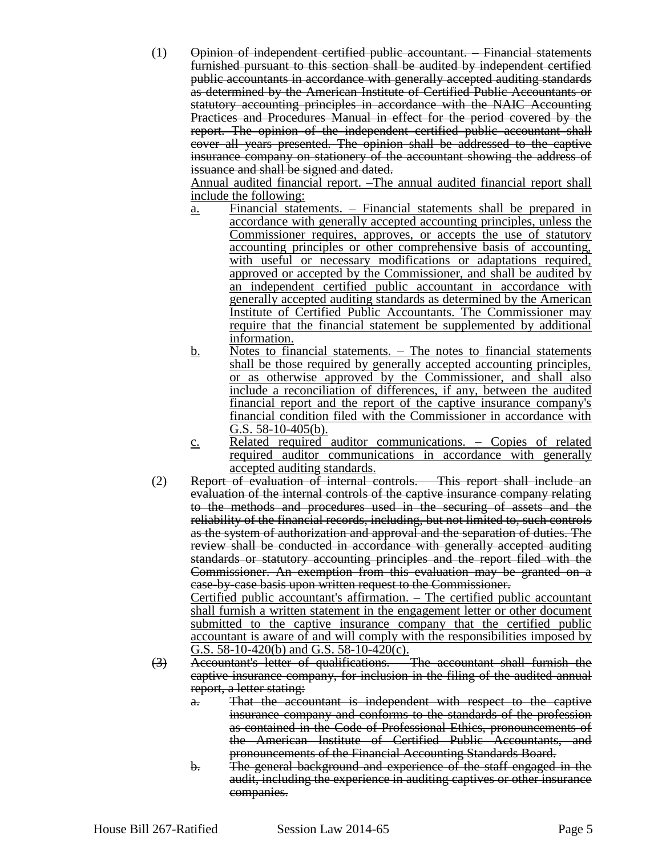(1) Opinion of independent certified public accountant. – Financial statements furnished pursuant to this section shall be audited by independent certified public accountants in accordance with generally accepted auditing standards as determined by the American Institute of Certified Public Accountants or statutory accounting principles in accordance with the NAIC Accounting Practices and Procedures Manual in effect for the period covered by the report. The opinion of the independent certified public accountant shall cover all years presented. The opinion shall be addressed to the captive insurance company on stationery of the accountant showing the address of issuance and shall be signed and dated.

Annual audited financial report. –The annual audited financial report shall include the following:

- a. Financial statements. Financial statements shall be prepared in accordance with generally accepted accounting principles, unless the Commissioner requires, approves, or accepts the use of statutory accounting principles or other comprehensive basis of accounting, with useful or necessary modifications or adaptations required, approved or accepted by the Commissioner, and shall be audited by an independent certified public accountant in accordance with generally accepted auditing standards as determined by the American Institute of Certified Public Accountants. The Commissioner may require that the financial statement be supplemented by additional information.
- b. Notes to financial statements. The notes to financial statements shall be those required by generally accepted accounting principles, or as otherwise approved by the Commissioner, and shall also include a reconciliation of differences, if any, between the audited financial report and the report of the captive insurance company's financial condition filed with the Commissioner in accordance with G.S. 58-10-405(b).
- c. Related required auditor communications. Copies of related required auditor communications in accordance with generally accepted auditing standards.
- (2) Report of evaluation of internal controls. This report shall include an evaluation of the internal controls of the captive insurance company relating to the methods and procedures used in the securing of assets and the reliability of the financial records, including, but not limited to, such controls as the system of authorization and approval and the separation of duties. The review shall be conducted in accordance with generally accepted auditing standards or statutory accounting principles and the report filed with the Commissioner. An exemption from this evaluation may be granted on a case-by-case basis upon written request to the Commissioner.

Certified public accountant's affirmation. – The certified public accountant shall furnish a written statement in the engagement letter or other document submitted to the captive insurance company that the certified public accountant is aware of and will comply with the responsibilities imposed by G.S.  $58-10-420(b)$  and G.S.  $58-10-420(c)$ .

- (3) Accountant's letter of qualifications. The accountant shall furnish the captive insurance company, for inclusion in the filing of the audited annual report, a letter stating:
	- a. That the accountant is independent with respect to the captive insurance company and conforms to the standards of the profession as contained in the Code of Professional Ethics, pronouncements of the American Institute of Certified Public Accountants, and pronouncements of the Financial Accounting Standards Board.
	- b. The general background and experience of the staff engaged in the audit, including the experience in auditing captives or other insurance companies.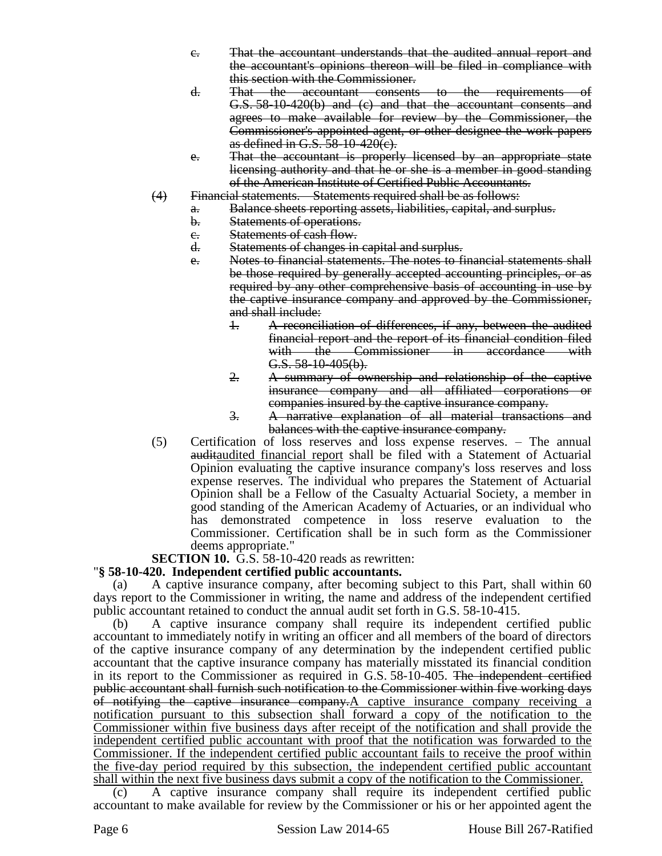- c. That the accountant understands that the audited annual report and the accountant's opinions thereon will be filed in compliance with this section with the Commissioner.
- d. That the accountant consents to the requirements of G.S. 58-10-420(b) and (c) and that the accountant consents and agrees to make available for review by the Commissioner, the Commissioner's appointed agent, or other designee the work papers as defined in G.S. 58-10-420(c).
- e. That the accountant is properly licensed by an appropriate state licensing authority and that he or she is a member in good standing of the American Institute of Certified Public Accountants.
- (4) Financial statements. Statements required shall be as follows:
	- a. Balance sheets reporting assets, liabilities, capital, and surplus.
		- b. Statements of operations.
		- e. Statements of cash flow.<br>d. Statements of changes in
		- Statements of changes in capital and surplus.
		- e. Notes to financial statements. The notes to financial statements shall be those required by generally accepted accounting principles, or as required by any other comprehensive basis of accounting in use by the captive insurance company and approved by the Commissioner, and shall include:
			- 1. A reconciliation of differences, if any, between the audited financial report and the report of its financial condition filed with the Commissioner in accordance with G.S. 58-10-405(b).
			- 2. A summary of ownership and relationship of the captive insurance company and all affiliated corporations or companies insured by the captive insurance company.
			- 3. A narrative explanation of all material transactions and balances with the captive insurance company.
- (5) Certification of loss reserves and loss expense reserves. The annual auditaudited financial report shall be filed with a Statement of Actuarial Opinion evaluating the captive insurance company's loss reserves and loss expense reserves. The individual who prepares the Statement of Actuarial Opinion shall be a Fellow of the Casualty Actuarial Society, a member in good standing of the American Academy of Actuaries, or an individual who has demonstrated competence in loss reserve evaluation to the Commissioner. Certification shall be in such form as the Commissioner deems appropriate."

# **SECTION 10.** G.S. 58-10-420 reads as rewritten:

# "**§ 58-10-420. Independent certified public accountants.**

(a) A captive insurance company, after becoming subject to this Part, shall within 60 days report to the Commissioner in writing, the name and address of the independent certified public accountant retained to conduct the annual audit set forth in G.S. 58-10-415.

(b) A captive insurance company shall require its independent certified public accountant to immediately notify in writing an officer and all members of the board of directors of the captive insurance company of any determination by the independent certified public accountant that the captive insurance company has materially misstated its financial condition in its report to the Commissioner as required in G.S. 58-10-405. The independent certified public accountant shall furnish such notification to the Commissioner within five working days of notifying the captive insurance company.A captive insurance company receiving a notification pursuant to this subsection shall forward a copy of the notification to the Commissioner within five business days after receipt of the notification and shall provide the independent certified public accountant with proof that the notification was forwarded to the Commissioner. If the independent certified public accountant fails to receive the proof within the five-day period required by this subsection, the independent certified public accountant shall within the next five business days submit a copy of the notification to the Commissioner.

(c) A captive insurance company shall require its independent certified public accountant to make available for review by the Commissioner or his or her appointed agent the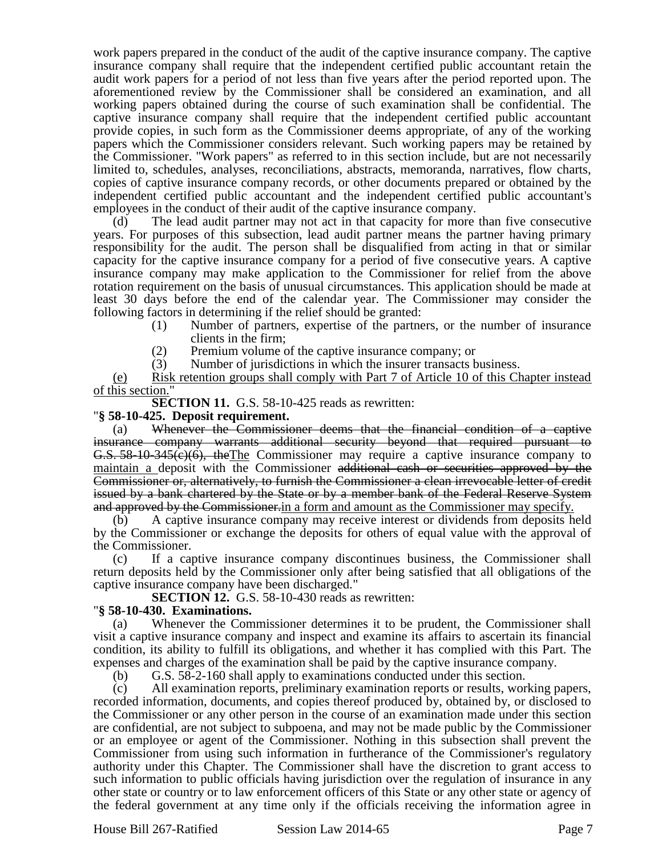work papers prepared in the conduct of the audit of the captive insurance company. The captive insurance company shall require that the independent certified public accountant retain the audit work papers for a period of not less than five years after the period reported upon. The aforementioned review by the Commissioner shall be considered an examination, and all working papers obtained during the course of such examination shall be confidential. The captive insurance company shall require that the independent certified public accountant provide copies, in such form as the Commissioner deems appropriate, of any of the working papers which the Commissioner considers relevant. Such working papers may be retained by the Commissioner. "Work papers" as referred to in this section include, but are not necessarily limited to, schedules, analyses, reconciliations, abstracts, memoranda, narratives, flow charts, copies of captive insurance company records, or other documents prepared or obtained by the independent certified public accountant and the independent certified public accountant's employees in the conduct of their audit of the captive insurance company.

The lead audit partner may not act in that capacity for more than five consecutive years. For purposes of this subsection, lead audit partner means the partner having primary responsibility for the audit. The person shall be disqualified from acting in that or similar capacity for the captive insurance company for a period of five consecutive years. A captive insurance company may make application to the Commissioner for relief from the above rotation requirement on the basis of unusual circumstances. This application should be made at least 30 days before the end of the calendar year. The Commissioner may consider the following factors in determining if the relief should be granted:

- (1) Number of partners, expertise of the partners, or the number of insurance clients in the firm;
- (2) Premium volume of the captive insurance company; or
- (3) Number of jurisdictions in which the insurer transacts business.

(e) Risk retention groups shall comply with Part 7 of Article 10 of this Chapter instead of this section."

**SECTION 11.** G.S. 58-10-425 reads as rewritten:

### "**§ 58-10-425. Deposit requirement.**

(a) Whenever the Commissioner deems that the financial condition of a captive insurance company warrants additional security beyond that required pursuant to G.S. 58-10-345(c)(6), theThe Commissioner may require a captive insurance company to maintain a deposit with the Commissioner additional cash or securities approved by the Commissioner or, alternatively, to furnish the Commissioner a clean irrevocable letter of credit issued by a bank chartered by the State or by a member bank of the Federal Reserve System and approved by the Commissioner.in a form and amount as the Commissioner may specify.

(b) A captive insurance company may receive interest or dividends from deposits held by the Commissioner or exchange the deposits for others of equal value with the approval of the Commissioner.

(c) If a captive insurance company discontinues business, the Commissioner shall return deposits held by the Commissioner only after being satisfied that all obligations of the captive insurance company have been discharged."

**SECTION 12.** G.S. 58-10-430 reads as rewritten:

### "**§ 58-10-430. Examinations.**

(a) Whenever the Commissioner determines it to be prudent, the Commissioner shall visit a captive insurance company and inspect and examine its affairs to ascertain its financial condition, its ability to fulfill its obligations, and whether it has complied with this Part. The expenses and charges of the examination shall be paid by the captive insurance company.

(b) G.S. 58-2-160 shall apply to examinations conducted under this section.

(c) All examination reports, preliminary examination reports or results, working papers, recorded information, documents, and copies thereof produced by, obtained by, or disclosed to the Commissioner or any other person in the course of an examination made under this section are confidential, are not subject to subpoena, and may not be made public by the Commissioner or an employee or agent of the Commissioner. Nothing in this subsection shall prevent the Commissioner from using such information in furtherance of the Commissioner's regulatory authority under this Chapter. The Commissioner shall have the discretion to grant access to such information to public officials having jurisdiction over the regulation of insurance in any other state or country or to law enforcement officers of this State or any other state or agency of the federal government at any time only if the officials receiving the information agree in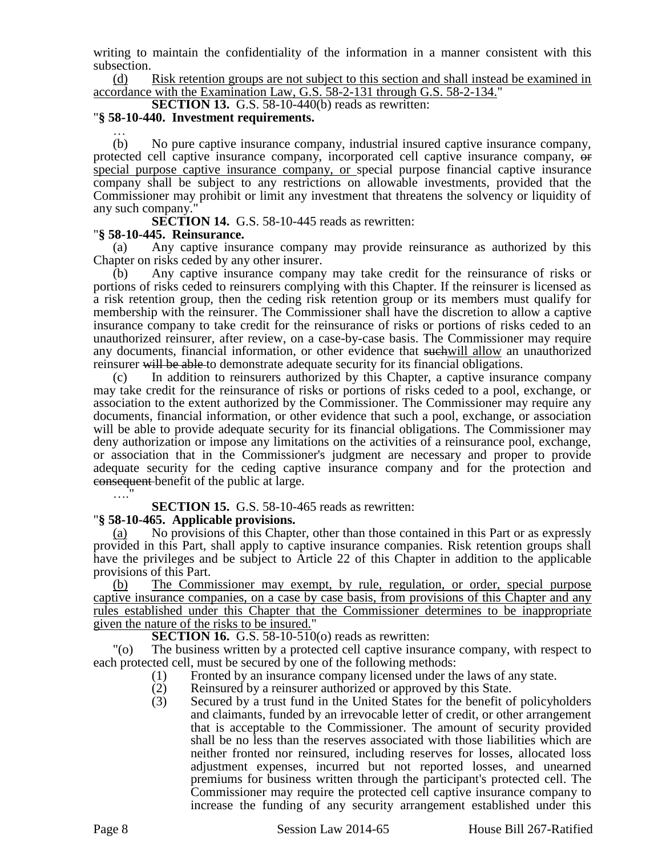writing to maintain the confidentiality of the information in a manner consistent with this subsection.

(d) Risk retention groups are not subject to this section and shall instead be examined in accordance with the Examination Law, G.S. 58-2-131 through G.S. 58-2-134."

**SECTION 13.** G.S. 58-10-440(b) reads as rewritten:

#### "**§ 58-10-440. Investment requirements.** …

(b) No pure captive insurance company, industrial insured captive insurance company, protected cell captive insurance company, incorporated cell captive insurance company, or special purpose captive insurance company, or special purpose financial captive insurance company shall be subject to any restrictions on allowable investments, provided that the Commissioner may prohibit or limit any investment that threatens the solvency or liquidity of any such company.

**SECTION 14.** G.S. 58-10-445 reads as rewritten:

### "**§ 58-10-445. Reinsurance.**

Any captive insurance company may provide reinsurance as authorized by this Chapter on risks ceded by any other insurer.

(b) Any captive insurance company may take credit for the reinsurance of risks or portions of risks ceded to reinsurers complying with this Chapter. If the reinsurer is licensed as a risk retention group, then the ceding risk retention group or its members must qualify for membership with the reinsurer. The Commissioner shall have the discretion to allow a captive insurance company to take credit for the reinsurance of risks or portions of risks ceded to an unauthorized reinsurer, after review, on a case-by-case basis. The Commissioner may require any documents, financial information, or other evidence that suchwill allow an unauthorized reinsurer will be able to demonstrate adequate security for its financial obligations.

(c) In addition to reinsurers authorized by this Chapter, a captive insurance company may take credit for the reinsurance of risks or portions of risks ceded to a pool, exchange, or association to the extent authorized by the Commissioner. The Commissioner may require any documents, financial information, or other evidence that such a pool, exchange, or association will be able to provide adequate security for its financial obligations. The Commissioner may deny authorization or impose any limitations on the activities of a reinsurance pool, exchange, or association that in the Commissioner's judgment are necessary and proper to provide adequate security for the ceding captive insurance company and for the protection and consequent benefit of the public at large.

# **SECTION 15.** G.S. 58-10-465 reads as rewritten:

# "**§ 58-10-465. Applicable provisions.**

(a) No provisions of this Chapter, other than those contained in this Part or as expressly provided in this Part, shall apply to captive insurance companies. Risk retention groups shall have the privileges and be subject to Article 22 of this Chapter in addition to the applicable provisions of this Part.

The Commissioner may exempt, by rule, regulation, or order, special purpose captive insurance companies, on a case by case basis, from provisions of this Chapter and any rules established under this Chapter that the Commissioner determines to be inappropriate given the nature of the risks to be insured."

**SECTION 16.** G.S. 58-10-510(o) reads as rewritten:

"(o) The business written by a protected cell captive insurance company, with respect to each protected cell, must be secured by one of the following methods:

- (1) Fronted by an insurance company licensed under the laws of any state.
- (2) Reinsured by a reinsurer authorized or approved by this State.
- (3) Secured by a trust fund in the United States for the benefit of policyholders and claimants, funded by an irrevocable letter of credit, or other arrangement that is acceptable to the Commissioner. The amount of security provided shall be no less than the reserves associated with those liabilities which are neither fronted nor reinsured, including reserves for losses, allocated loss adjustment expenses, incurred but not reported losses, and unearned premiums for business written through the participant's protected cell. The Commissioner may require the protected cell captive insurance company to increase the funding of any security arrangement established under this

….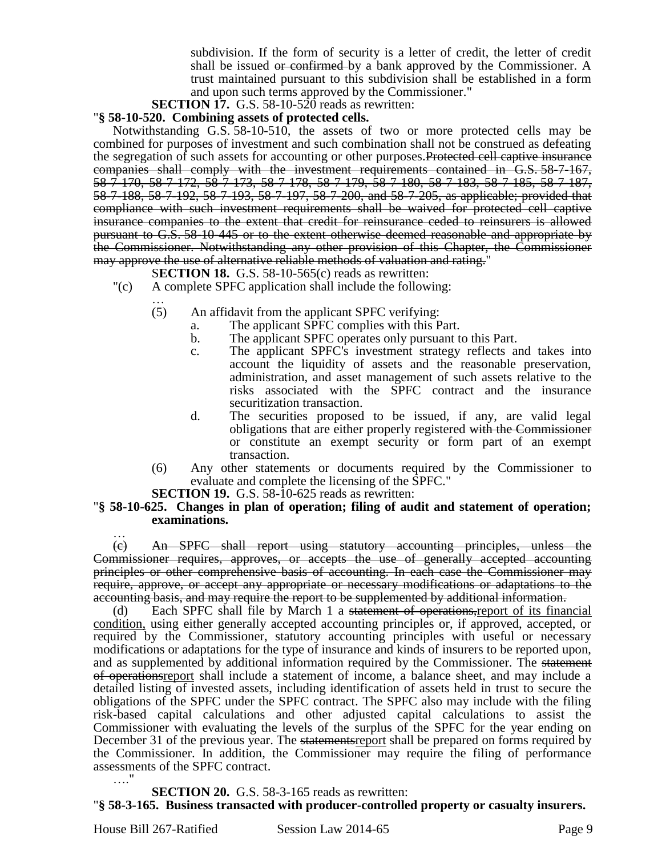subdivision. If the form of security is a letter of credit, the letter of credit shall be issued or confirmed by a bank approved by the Commissioner. A trust maintained pursuant to this subdivision shall be established in a form and upon such terms approved by the Commissioner."

**SECTION 17.** G.S. 58-10-520 reads as rewritten:

#### "**§ 58-10-520. Combining assets of protected cells.**

Notwithstanding G.S. 58-10-510, the assets of two or more protected cells may be combined for purposes of investment and such combination shall not be construed as defeating the segregation of such assets for accounting or other purposes. Protected cell captive insurance companies shall comply with the investment requirements contained in G.S. 58-7-167, 58-7-170, 58-7-172, 58-7-173, 58-7-178, 58-7-179, 58-7-180, 58-7-183, 58-7-185, 58-7-187, 58-7-188, 58-7-192, 58-7-193, 58-7-197, 58-7-200, and 58-7-205, as applicable; provided that compliance with such investment requirements shall be waived for protected cell captive insurance companies to the extent that credit for reinsurance ceded to reinsurers is allowed pursuant to G.S. 58-10-445 or to the extent otherwise deemed reasonable and appropriate by the Commissioner. Notwithstanding any other provision of this Chapter, the Commissioner may approve the use of alternative reliable methods of valuation and rating."

- S**ECTION 18.** G.S. 58-10-565(c) reads as rewritten:
- "(c) A complete SPFC application shall include the following:
	- … (5) An affidavit from the applicant SPFC verifying:
		- a. The applicant SPFC complies with this Part.
		- b. The applicant SPFC operates only pursuant to this Part.
		- c. The applicant SPFC's investment strategy reflects and takes into account the liquidity of assets and the reasonable preservation, administration, and asset management of such assets relative to the risks associated with the SPFC contract and the insurance securitization transaction.
		- d. The securities proposed to be issued, if any, are valid legal obligations that are either properly registered with the Commissioner or constitute an exempt security or form part of an exempt transaction.
	- (6) Any other statements or documents required by the Commissioner to evaluate and complete the licensing of the SPFC."

**SECTION 19.** G.S. 58-10-625 reads as rewritten:

#### "**§ 58-10-625. Changes in plan of operation; filing of audit and statement of operation; examinations.**

… (c) An SPFC shall report using statutory accounting principles, unless the Commissioner requires, approves, or accepts the use of generally accepted accounting principles or other comprehensive basis of accounting. In each case the Commissioner may require, approve, or accept any appropriate or necessary modifications or adaptations to the accounting basis, and may require the report to be supplemented by additional information.

Each SPFC shall file by March 1 a statement of operations, report of its financial condition, using either generally accepted accounting principles or, if approved, accepted, or required by the Commissioner, statutory accounting principles with useful or necessary modifications or adaptations for the type of insurance and kinds of insurers to be reported upon, and as supplemented by additional information required by the Commissioner. The statement of operationsreport shall include a statement of income, a balance sheet, and may include a detailed listing of invested assets, including identification of assets held in trust to secure the obligations of the SPFC under the SPFC contract. The SPFC also may include with the filing risk-based capital calculations and other adjusted capital calculations to assist the Commissioner with evaluating the levels of the surplus of the SPFC for the year ending on December 31 of the previous year. The statements report shall be prepared on forms required by the Commissioner. In addition, the Commissioner may require the filing of performance assessments of the SPFC contract. …."

**SECTION 20.** G.S. 58-3-165 reads as rewritten: "**§ 58-3-165. Business transacted with producer-controlled property or casualty insurers.**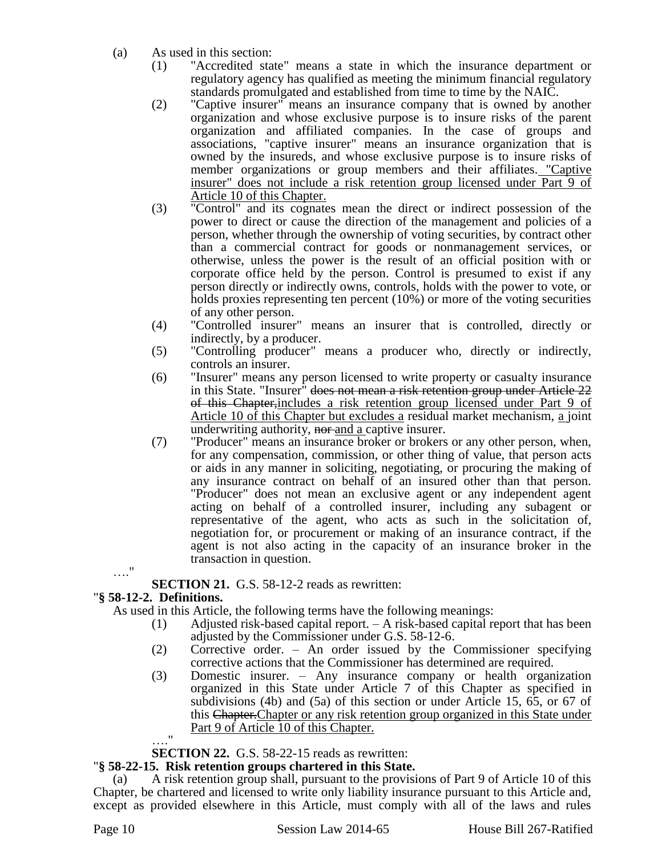- (a) As used in this section:
	- (1) "Accredited state" means a state in which the insurance department or regulatory agency has qualified as meeting the minimum financial regulatory standards promulgated and established from time to time by the NAIC.
	- (2) "Captive insurer" means an insurance company that is owned by another organization and whose exclusive purpose is to insure risks of the parent organization and affiliated companies. In the case of groups and associations, "captive insurer" means an insurance organization that is owned by the insureds, and whose exclusive purpose is to insure risks of member organizations or group members and their affiliates. "Captive insurer" does not include a risk retention group licensed under Part 9 of Article 10 of this Chapter.
	- (3) "Control" and its cognates mean the direct or indirect possession of the power to direct or cause the direction of the management and policies of a person, whether through the ownership of voting securities, by contract other than a commercial contract for goods or nonmanagement services, or otherwise, unless the power is the result of an official position with or corporate office held by the person. Control is presumed to exist if any person directly or indirectly owns, controls, holds with the power to vote, or holds proxies representing ten percent (10%) or more of the voting securities of any other person.
	- (4) "Controlled insurer" means an insurer that is controlled, directly or indirectly, by a producer.
	- (5) "Controlling producer" means a producer who, directly or indirectly, controls an insurer.
	- (6) "Insurer" means any person licensed to write property or casualty insurance in this State. "Insurer" does not mean a risk retention group under Article 22 of this Chapter,includes a risk retention group licensed under Part 9 of Article 10 of this Chapter but excludes a residual market mechanism, a joint underwriting authority, nor and a captive insurer.
	- (7) "Producer" means an insurance broker or brokers or any other person, when, for any compensation, commission, or other thing of value, that person acts or aids in any manner in soliciting, negotiating, or procuring the making of any insurance contract on behalf of an insured other than that person. "Producer" does not mean an exclusive agent or any independent agent acting on behalf of a controlled insurer, including any subagent or representative of the agent, who acts as such in the solicitation of, negotiation for, or procurement or making of an insurance contract, if the agent is not also acting in the capacity of an insurance broker in the transaction in question.

**SECTION 21.** G.S. 58-12-2 reads as rewritten:

# "**§ 58-12-2. Definitions.**

…."

As used in this Article, the following terms have the following meanings:

- (1) Adjusted risk-based capital report. A risk-based capital report that has been adjusted by the Commissioner under G.S. 58-12-6.
- (2) Corrective order. An order issued by the Commissioner specifying corrective actions that the Commissioner has determined are required.
- (3) Domestic insurer. Any insurance company or health organization organized in this State under Article 7 of this Chapter as specified in subdivisions (4b) and (5a) of this section or under Article 15, 65, or 67 of this Chapter.Chapter or any risk retention group organized in this State under Part 9 of Article 10 of this Chapter.

 $^{\rm{ii}}$ 

**SECTION 22.** G.S. 58-22-15 reads as rewritten:

# "**§ 58-22-15. Risk retention groups chartered in this State.**

(a) A risk retention group shall, pursuant to the provisions of Part 9 of Article 10 of this Chapter, be chartered and licensed to write only liability insurance pursuant to this Article and, except as provided elsewhere in this Article, must comply with all of the laws and rules